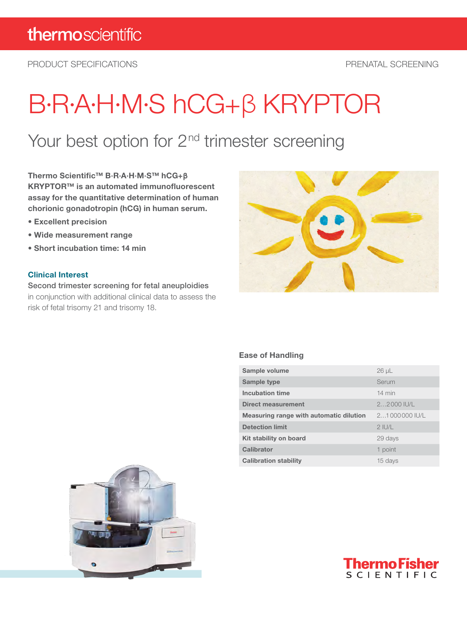PRODUCT SPECIFICATIONS PRENATAL SCREENING

# B·R·A·H·M·S hCG+βKRYPTOR

## Your best option for 2<sup>nd</sup> trimester screening

Thermo Scientific™ B·R·A·H·M·S™ hCG+**β** KRYPTOR™ is an automated immunofluorescent assay for the quantitative determination of human chorionic gonadotropin (hCG) in human serum.

- Excellent precision
- Wide measurement range
- Short incubation time: 14 min

#### Clinical Interest

Second trimester screening for fetal aneuploidies in conjunction with additional clinical data to assess the risk of fetal trisomy 21 and trisomy 18.



#### Ease of Handling

| Sample volume                           | $26 \mu L$       |  |
|-----------------------------------------|------------------|--|
| Sample type                             | Serum            |  |
| <b>Incubation time</b>                  | $14 \text{ min}$ |  |
| Direct measurement                      | $22000$ IU/L     |  |
| Measuring range with automatic dilution | 21000000 IU/L    |  |
| <b>Detection limit</b>                  | $2$ IU/L         |  |
| Kit stability on board                  | 29 days          |  |
| Calibrator                              | 1 point          |  |
| <b>Calibration stability</b>            | 15 days          |  |